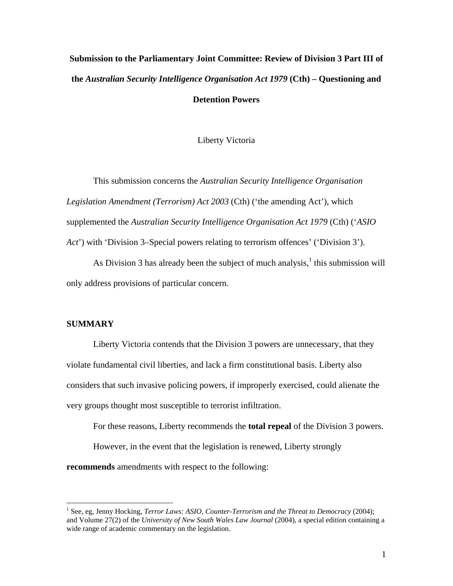# **Submission to the Parliamentary Joint Committee: Review of Division 3 Part III of the** *Australian Security Intelligence Organisation Act 1979* **(Cth) – Questioning and**

**Detention Powers** 

Liberty Victoria

This submission concerns the *Australian Security Intelligence Organisation Legislation Amendment (Terrorism) Act 2003* (Cth) ('the amending Act'), which supplemented the *Australian Security Intelligence Organisation Act 1979* (Cth) ('*ASIO Act*') with 'Division 3–Special powers relating to terrorism offences' ('Division 3').

As Division 3 has already been the subject of much analysis, $<sup>1</sup>$  $<sup>1</sup>$  $<sup>1</sup>$  this submission will</sup> only address provisions of particular concern.

#### **SUMMARY**

1

Liberty Victoria contends that the Division 3 powers are unnecessary, that they violate fundamental civil liberties, and lack a firm constitutional basis. Liberty also considers that such invasive policing powers, if improperly exercised, could alienate the very groups thought most susceptible to terrorist infiltration.

For these reasons, Liberty recommends the **total repeal** of the Division 3 powers. However, in the event that the legislation is renewed, Liberty strongly **recommends** amendments with respect to the following:

<span id="page-0-0"></span><sup>1</sup> See, eg, Jenny Hocking, *Terror Laws: ASIO, Counter-Terrorism and the Threat to Democracy* (2004); and Volume 27(2) of the *University of New South Wales Law Journal* (2004), a special edition containing a wide range of academic commentary on the legislation.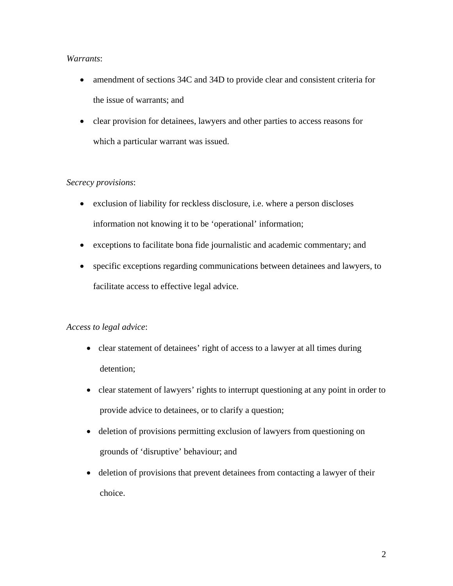### *Warrants*:

- amendment of sections 34C and 34D to provide clear and consistent criteria for the issue of warrants; and
- clear provision for detainees, lawyers and other parties to access reasons for which a particular warrant was issued.

# *Secrecy provisions*:

- exclusion of liability for reckless disclosure, i.e. where a person discloses information not knowing it to be 'operational' information;
- exceptions to facilitate bona fide journalistic and academic commentary; and
- specific exceptions regarding communications between detainees and lawyers, to facilitate access to effective legal advice.

# *Access to legal advice*:

- clear statement of detainees' right of access to a lawyer at all times during detention;
- clear statement of lawyers' rights to interrupt questioning at any point in order to provide advice to detainees, or to clarify a question;
- deletion of provisions permitting exclusion of lawyers from questioning on grounds of 'disruptive' behaviour; and
- deletion of provisions that prevent detainees from contacting a lawyer of their choice.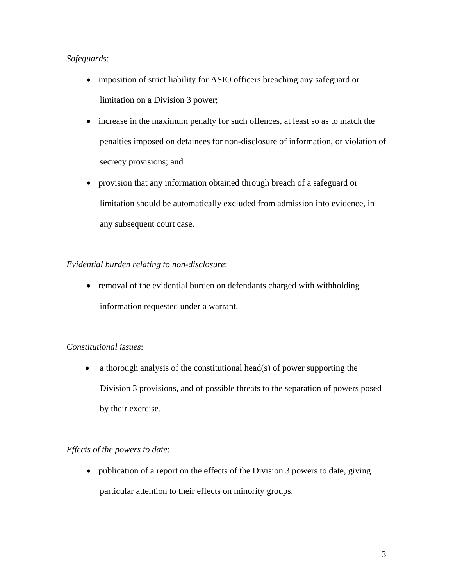# *Safeguards*:

- imposition of strict liability for ASIO officers breaching any safeguard or limitation on a Division 3 power;
- increase in the maximum penalty for such offences, at least so as to match the penalties imposed on detainees for non-disclosure of information, or violation of secrecy provisions; and
- provision that any information obtained through breach of a safeguard or limitation should be automatically excluded from admission into evidence, in any subsequent court case.

# *Evidential burden relating to non-disclosure*:

• removal of the evidential burden on defendants charged with withholding information requested under a warrant.

# *Constitutional issues*:

• a thorough analysis of the constitutional head(s) of power supporting the Division 3 provisions, and of possible threats to the separation of powers posed by their exercise.

# *Effects of the powers to date*:

• publication of a report on the effects of the Division 3 powers to date, giving particular attention to their effects on minority groups.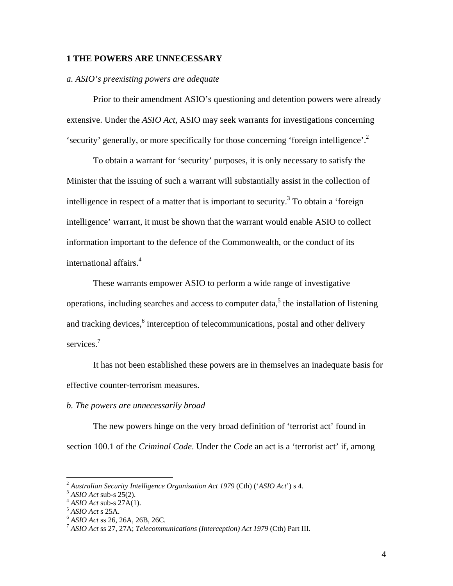#### **1 THE POWERS ARE UNNECESSARY**

#### *a. ASIO's preexisting powers are adequate*

Prior to their amendment ASIO's questioning and detention powers were already extensive. Under the *ASIO Act,* ASIO may seek warrants for investigations concerning 'security' generally, or more specifically for those concerning 'foreign intelligence'.<sup>[2](#page-3-0)</sup>

To obtain a warrant for 'security' purposes, it is only necessary to satisfy the Minister that the issuing of such a warrant will substantially assist in the collection of intelligence in respect of a matter that is important to security.<sup>[3](#page-3-1)</sup> To obtain a 'foreign intelligence' warrant, it must be shown that the warrant would enable ASIO to collect information important to the defence of the Commonwealth, or the conduct of its international affairs.<sup>[4](#page-3-2)</sup>

These warrants empower ASIO to perform a wide range of investigative operations, including searches and access to computer data,<sup>[5](#page-3-3)</sup> the installation of listening and tracking devices,<sup>[6](#page-3-4)</sup> interception of telecommunications, postal and other delivery services<sup>[7](#page-3-5)</sup>

It has not been established these powers are in themselves an inadequate basis for effective counter-terrorism measures.

#### *b. The powers are unnecessarily broad*

The new powers hinge on the very broad definition of 'terrorist act' found in section 100.1 of the *Criminal Code*. Under the *Code* an act is a 'terrorist act' if, among

<span id="page-3-0"></span><sup>&</sup>lt;sup>2</sup> Australian Security Intelligence Organisation Act 1979 (Cth) ('ASIO Act') s 4.<br>
<sup>3</sup> ASIO Act sub-s 25(2).<br>
<sup>4</sup> ASIO Act sub-s 27A(1).<br>
<sup>5</sup> ASIO Act s 25A.<br>
<sup>6</sup> ASIO Act s 25, 26A, 26B, 26C.<br>
<sup>7</sup> ASIO Act s 27, 27A; *T* 

<span id="page-3-1"></span>

<span id="page-3-2"></span>

<span id="page-3-3"></span>

<span id="page-3-4"></span>

<span id="page-3-5"></span>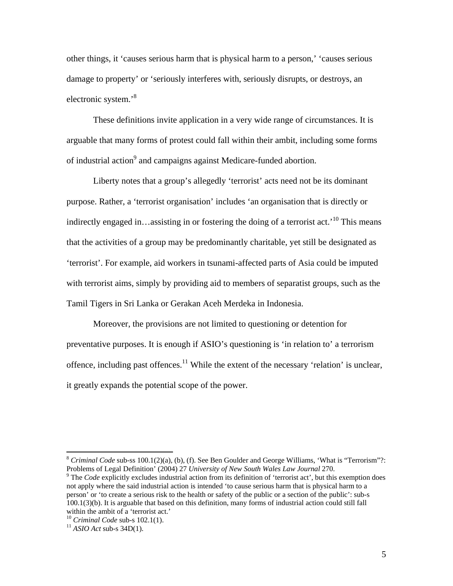other things, it 'causes serious harm that is physical harm to a person,' 'causes serious damage to property' or 'seriously interferes with, seriously disrupts, or destroys, an electronic system.'[8](#page-4-0)

These definitions invite application in a very wide range of circumstances. It is arguable that many forms of protest could fall within their ambit, including some forms of industrial action<sup>[9](#page-4-1)</sup> and campaigns against Medicare-funded abortion.

Liberty notes that a group's allegedly 'terrorist' acts need not be its dominant purpose. Rather, a 'terrorist organisation' includes 'an organisation that is directly or indirectly engaged in…assisting in or fostering the doing of a terrorist act.<sup>'10</sup> This means that the activities of a group may be predominantly charitable, yet still be designated as 'terrorist'. For example, aid workers in tsunami-affected parts of Asia could be imputed with terrorist aims, simply by providing aid to members of separatist groups, such as the Tamil Tigers in Sri Lanka or Gerakan Aceh Merdeka in Indonesia.

Moreover, the provisions are not limited to questioning or detention for preventative purposes. It is enough if ASIO's questioning is 'in relation to' a terrorism offence, including past offences.<sup>11</sup> While the extent of the necessary 'relation' is unclear, it greatly expands the potential scope of the power.

1

<span id="page-4-0"></span><sup>8</sup> *Criminal Code* sub-ss 100.1(2)(a), (b), (f). See Ben Goulder and George Williams, 'What is "Terrorism"?: Problems of Legal Definition' (2004) <sup>27</sup> *University of New South Wales Law Journal* 270. 9

<span id="page-4-1"></span><sup>&</sup>lt;sup>9</sup> The *Code* explicitly excludes industrial action from its definition of 'terrorist act', but this exemption does not apply where the said industrial action is intended 'to cause serious harm that is physical harm to a person' or 'to create a serious risk to the health or safety of the public or a section of the public': sub-s 100.1(3)(b). It is arguable that based on this definition, many forms of industrial action could still fall within the ambit of a 'terrorist act.' 10 *Criminal Code* sub-s 102.1(1). <sup>11</sup> *ASIO Act* sub-s 34D(1).

<span id="page-4-2"></span>

<span id="page-4-3"></span>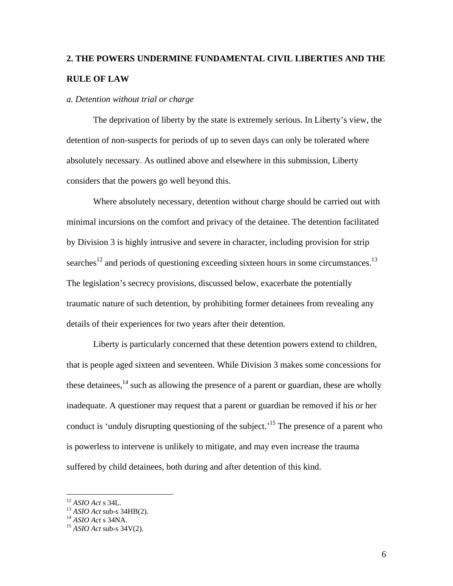# **2. THE POWERS UNDERMINE FUNDAMENTAL CIVIL LIBERTIES AND THE RULE OF LAW**

#### *a. Detention without trial or charge*

The deprivation of liberty by the state is extremely serious. In Liberty's view, the detention of non-suspects for periods of up to seven days can only be tolerated where absolutely necessary. As outlined above and elsewhere in this submission, Liberty considers that the powers go well beyond this.

Where absolutely necessary, detention without charge should be carried out with minimal incursions on the comfort and privacy of the detainee. The detention facilitated by Division 3 is highly intrusive and severe in character, including provision for strip searches<sup>12</sup> and periods of questioning exceeding sixteen hours in some circumstances.<sup>[13](#page-5-1)</sup> The legislation's secrecy provisions, discussed below, exacerbate the potentially traumatic nature of such detention, by prohibiting former detainees from revealing any details of their experiences for two years after their detention.

Liberty is particularly concerned that these detention powers extend to children, that is people aged sixteen and seventeen. While Division 3 makes some concessions for these detainees,  $14$  such as allowing the presence of a parent or guardian, these are wholly inadequate. A questioner may request that a parent or guardian be removed if his or her conduct is 'unduly disrupting questioning of the subject.<sup>'15</sup> The presence of a parent who is powerless to intervene is unlikely to mitigate, and may even increase the trauma suffered by child detainees, both during and after detention of this kind.

<u>.</u>

<span id="page-5-1"></span>

<span id="page-5-3"></span><span id="page-5-2"></span>

<span id="page-5-0"></span><sup>&</sup>lt;sup>12</sup> *ASIO Act* s 34L.<br><sup>13</sup> *ASIO Act* sub-s 34HB(2).<br><sup>14</sup> *ASIO Act* sub-s 34V(2).<br><sup>15</sup> *ASIO Act* sub-s 34V(2).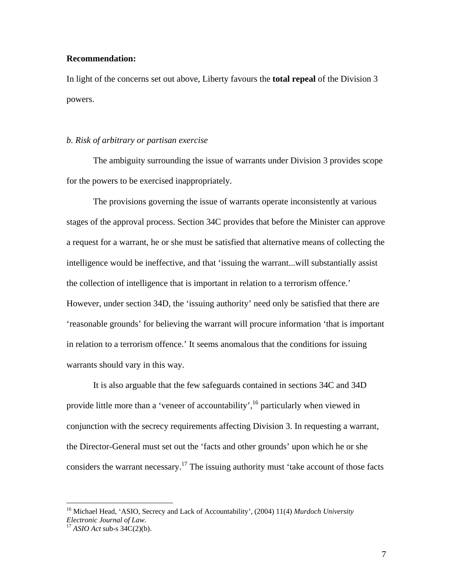#### **Recommendation:**

1

In light of the concerns set out above, Liberty favours the **total repeal** of the Division 3 powers.

#### *b. Risk of arbitrary or partisan exercise*

The ambiguity surrounding the issue of warrants under Division 3 provides scope for the powers to be exercised inappropriately.

The provisions governing the issue of warrants operate inconsistently at various stages of the approval process. Section 34C provides that before the Minister can approve a request for a warrant, he or she must be satisfied that alternative means of collecting the intelligence would be ineffective, and that 'issuing the warrant...will substantially assist the collection of intelligence that is important in relation to a terrorism offence.' However, under section 34D, the 'issuing authority' need only be satisfied that there are 'reasonable grounds' for believing the warrant will procure information 'that is important in relation to a terrorism offence.' It seems anomalous that the conditions for issuing warrants should vary in this way.

It is also arguable that the few safeguards contained in sections 34C and 34D provide little more than a 'veneer of accountability',  $^{16}$  particularly when viewed in conjunction with the secrecy requirements affecting Division 3. In requesting a warrant, the Director-General must set out the 'facts and other grounds' upon which he or she considers the warrant necessary.<sup>17</sup> The issuing authority must 'take account of those facts

<span id="page-6-1"></span><span id="page-6-0"></span><sup>16</sup> Michael Head, 'ASIO, Secrecy and Lack of Accountability', (2004) 11(4) *Murdoch University Electronic Journal of Law*. 17 *ASIO Act* sub-s 34C(2)(b).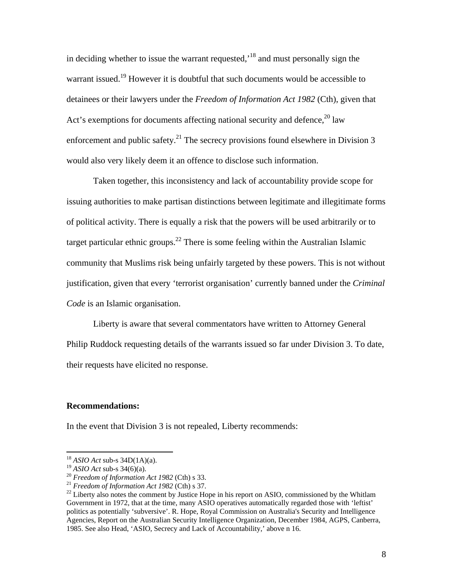in deciding whether to issue the warrant requested,'[18 a](#page-7-0)nd must personally sign the warrant issued.<sup>19</sup> However it is doubtful that such documents would be accessible to detainees or their lawyers under the *Freedom of Information Act 1982* (Cth), given that Act's exemptions for documents affecting national security and defence,  $20 \text{ law}$ enforcement and public safety.<sup>21</sup> The secrecy provisions found elsewhere in Division 3 would also very likely deem it an offence to disclose such information.

Taken together, this inconsistency and lack of accountability provide scope for issuing authorities to make partisan distinctions between legitimate and illegitimate forms of political activity. There is equally a risk that the powers will be used arbitrarily or to target particular ethnic groups.<sup>22</sup> There is some feeling within the Australian Islamic community that Muslims risk being unfairly targeted by these powers. This is not without justification, given that every 'terrorist organisation' currently banned under the *Criminal Code* is an Islamic organisation.

Liberty is aware that several commentators have written to Attorney General Philip Ruddock requesting details of the warrants issued so far under Division 3. To date, their requests have elicited no response.

#### **Recommendations:**

In the event that Division 3 is not repealed, Liberty recommends:

1

<span id="page-7-0"></span><sup>&</sup>lt;sup>18</sup> *ASIO Act* sub-s 34D(1A)(a).<br><sup>19</sup> *ASIO Act* sub-s 34(6)(a).

<span id="page-7-1"></span>

<span id="page-7-2"></span>

<span id="page-7-4"></span><span id="page-7-3"></span>

<sup>&</sup>lt;sup>20</sup> *Freedom of Information Act 1982* (Cth) s 33.<br><sup>21</sup> *Freedom of Information Act 1982* (Cth) s 37.<br><sup>22</sup> Liberty also notes the comment by Justice Hope in his report on ASIO, commissioned by the Whitlam Government in 1972, that at the time, many ASIO operatives automatically regarded those with 'leftist' politics as potentially 'subversive'. R. Hope, Royal Commission on Australia's Security and Intelligence Agencies, Report on the Australian Security Intelligence Organization, December 1984, AGPS, Canberra, 1985. See also Head, 'ASIO, Secrecy and Lack of Accountability,' above n 16.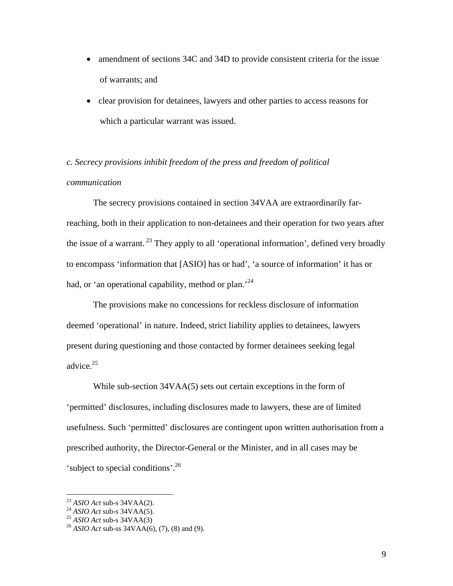- amendment of sections 34C and 34D to provide consistent criteria for the issue of warrants; and
- clear provision for detainees, lawyers and other parties to access reasons for which a particular warrant was issued.

*c. Secrecy provisions inhibit freedom of the press and freedom of political communication* 

The secrecy provisions contained in section 34VAA are extraordinarily farreaching, both in their application to non-detainees and their operation for two years after the issue of a warrant.<sup>23</sup> They apply to all 'operational information', defined very broadly to encompass 'information that [ASIO] has or had', 'a source of information' it has or had, or 'an operational capability, method or plan.<sup>[24](#page-8-1)</sup>

The provisions make no concessions for reckless disclosure of information deemed 'operational' in nature. Indeed, strict liability applies to detainees, lawyers present during questioning and those contacted by former detainees seeking legal advice.<sup>[25](#page-8-2)</sup>

While sub-section 34VAA(5) sets out certain exceptions in the form of 'permitted' disclosures, including disclosures made to lawyers, these are of limited usefulness. Such 'permitted' disclosures are contingent upon written authorisation from a prescribed authority, the Director-General or the Minister, and in all cases may be 'subject to special conditions'.<sup>[26](#page-8-3)</sup>

<span id="page-8-0"></span>

<span id="page-8-1"></span>

<span id="page-8-3"></span><span id="page-8-2"></span>

<sup>&</sup>lt;sup>23</sup> *ASIO Act* sub-s 34VAA(2).<br><sup>24</sup> *ASIO Act* sub-s 34VAA(5).<br><sup>25</sup> *ASIO Act* sub-ss 34VAA(6), (7), (8) and (9).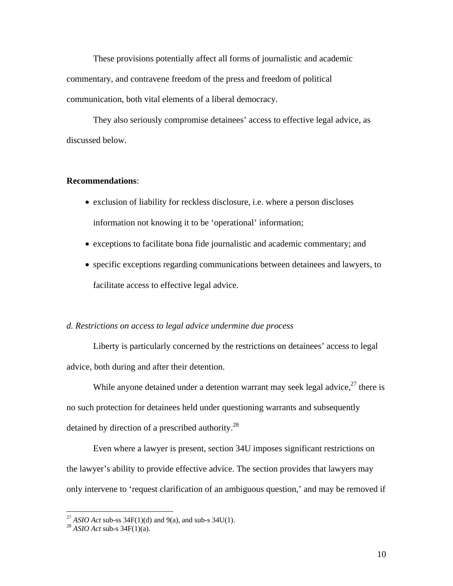These provisions potentially affect all forms of journalistic and academic commentary, and contravene freedom of the press and freedom of political communication, both vital elements of a liberal democracy.

They also seriously compromise detainees' access to effective legal advice, as discussed below.

#### **Recommendations**:

- exclusion of liability for reckless disclosure, i.e. where a person discloses information not knowing it to be 'operational' information;
- exceptions to facilitate bona fide journalistic and academic commentary; and
- specific exceptions regarding communications between detainees and lawyers, to facilitate access to effective legal advice.

#### *d. Restrictions on access to legal advice undermine due process*

Liberty is particularly concerned by the restrictions on detainees' access to legal advice, both during and after their detention.

While anyone detained under a detention warrant may seek legal advice,  $27$  there is no such protection for detainees held under questioning warrants and subsequently detained by direction of a prescribed authority. $^{28}$ 

Even where a lawyer is present, section 34U imposes significant restrictions on the lawyer's ability to provide effective advice. The section provides that lawyers may only intervene to 'request clarification of an ambiguous question,' and may be removed if

1

<span id="page-9-0"></span><sup>27</sup> *ASIO Act* sub-ss 34F(1)(d) and 9(a), and sub-s 34U(1). 28 *ASIO Act* sub-s 34F(1)(a).

<span id="page-9-1"></span>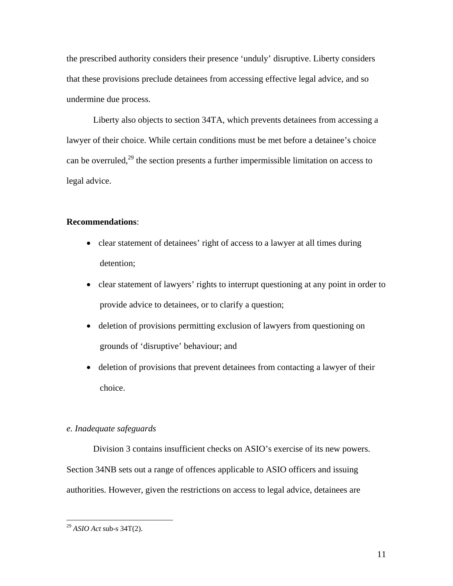the prescribed authority considers their presence 'unduly' disruptive. Liberty considers that these provisions preclude detainees from accessing effective legal advice, and so undermine due process.

Liberty also objects to section 34TA, which prevents detainees from accessing a lawyer of their choice. While certain conditions must be met before a detainee's choice can be overruled,<sup>29</sup> the section presents a further impermissible limitation on access to legal advice.

#### **Recommendations**:

- clear statement of detainees' right of access to a lawyer at all times during detention;
- clear statement of lawyers' rights to interrupt questioning at any point in order to provide advice to detainees, or to clarify a question;
- deletion of provisions permitting exclusion of lawyers from questioning on grounds of 'disruptive' behaviour; and
- deletion of provisions that prevent detainees from contacting a lawyer of their choice.

#### *e. Inadequate safeguards*

Division 3 contains insufficient checks on ASIO's exercise of its new powers. Section 34NB sets out a range of offences applicable to ASIO officers and issuing authorities. However, given the restrictions on access to legal advice, detainees are

<span id="page-10-0"></span><sup>29</sup> *ASIO Act* sub-s 34T(2).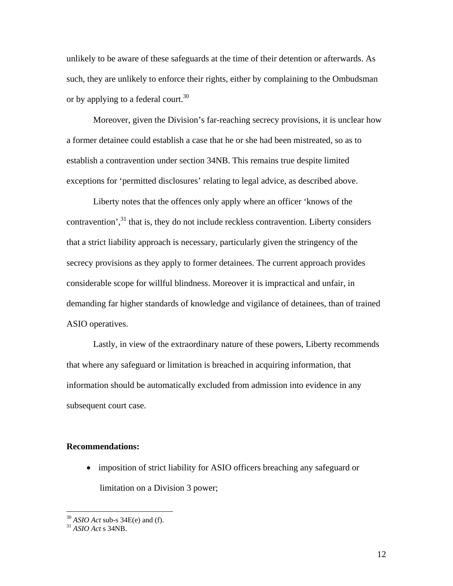unlikely to be aware of these safeguards at the time of their detention or afterwards. As such, they are unlikely to enforce their rights, either by complaining to the Ombudsman or by applying to a federal court.<sup>[30](#page-11-0)</sup>

Moreover, given the Division's far-reaching secrecy provisions, it is unclear how a former detainee could establish a case that he or she had been mistreated, so as to establish a contravention under section 34NB. This remains true despite limited exceptions for 'permitted disclosures' relating to legal advice, as described above.

Liberty notes that the offences only apply where an officer 'knows of the contravention',<sup>31</sup> that is, they do not include reckless contravention. Liberty considers that a strict liability approach is necessary, particularly given the stringency of the secrecy provisions as they apply to former detainees. The current approach provides considerable scope for willful blindness. Moreover it is impractical and unfair, in demanding far higher standards of knowledge and vigilance of detainees, than of trained ASIO operatives.

Lastly, in view of the extraordinary nature of these powers, Liberty recommends that where any safeguard or limitation is breached in acquiring information, that information should be automatically excluded from admission into evidence in any subsequent court case.

#### **Recommendations:**

• imposition of strict liability for ASIO officers breaching any safeguard or limitation on a Division 3 power;

<span id="page-11-0"></span><sup>30</sup> *ASIO Act* sub-s 34E(e) and (f). <sup>31</sup> *ASIO Act* s 34NB.

<span id="page-11-1"></span>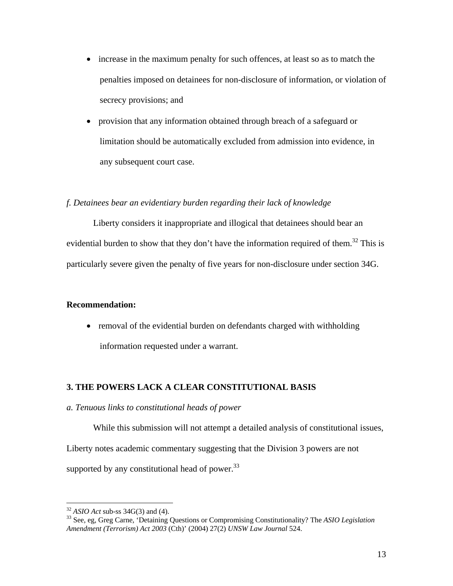- increase in the maximum penalty for such offences, at least so as to match the penalties imposed on detainees for non-disclosure of information, or violation of secrecy provisions; and
- provision that any information obtained through breach of a safeguard or limitation should be automatically excluded from admission into evidence, in any subsequent court case.

#### *f. Detainees bear an evidentiary burden regarding their lack of knowledge*

Liberty considers it inappropriate and illogical that detainees should bear an evidential burden to show that they don't have the information required of them.<sup>32</sup> This is particularly severe given the penalty of five years for non-disclosure under section 34G.

#### **Recommendation:**

• removal of the evidential burden on defendants charged with withholding information requested under a warrant.

#### **3. THE POWERS LACK A CLEAR CONSTITUTIONAL BASIS**

#### *a. Tenuous links to constitutional heads of power*

While this submission will not attempt a detailed analysis of constitutional issues, Liberty notes academic commentary suggesting that the Division 3 powers are not supported by any constitutional head of power.<sup>[33](#page-12-1)</sup>

<span id="page-12-1"></span><span id="page-12-0"></span>

<sup>32</sup> *ASIO Act* sub-ss 34G(3) and (4). 33 See, eg, Greg Carne, 'Detaining Questions or Compromising Constitutionality? The *ASIO Legislation Amendment (Terrorism) Act 2003* (Cth)' (2004) 27(2) *UNSW Law Journal* 524.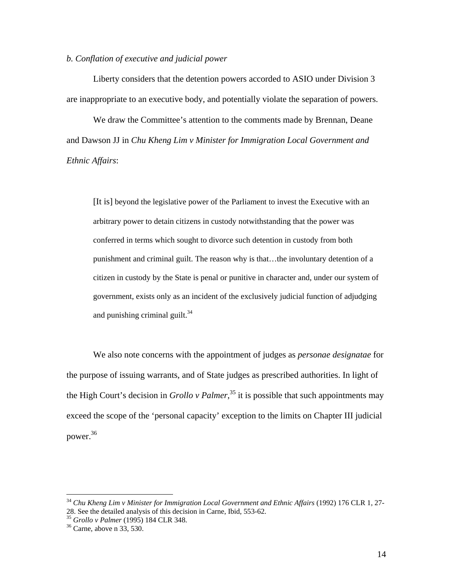#### *b. Conflation of executive and judicial power*

Liberty considers that the detention powers accorded to ASIO under Division 3 are inappropriate to an executive body, and potentially violate the separation of powers.

We draw the Committee's attention to the comments made by Brennan, Deane and Dawson JJ in *Chu Kheng Lim v Minister for Immigration Local Government and Ethnic Affairs*:

 [It is] beyond the legislative power of the Parliament to invest the Executive with an arbitrary power to detain citizens in custody notwithstanding that the power was conferred in terms which sought to divorce such detention in custody from both punishment and criminal guilt. The reason why is that…the involuntary detention of a citizen in custody by the State is penal or punitive in character and, under our system of government, exists only as an incident of the exclusively judicial function of adjudging and punishing criminal guilt. $34$ 

We also note concerns with the appointment of judges as *personae designatae* for the purpose of issuing warrants, and of State judges as prescribed authorities. In light of the High Court's decision in *Grollo v Palmer*, [35 i](#page-13-1)t is possible that such appointments may exceed the scope of the 'personal capacity' exception to the limits on Chapter III judicial power[.36](#page-13-2)

<span id="page-13-0"></span><sup>34</sup> *Chu Kheng Lim v Minister for Immigration Local Government and Ethnic Affairs* (1992) 176 CLR 1, 27- 28. See the detailed analysis of this decision in Carne, Ibid, 553-62.<br><sup>35</sup> *Grollo v Palmer* (1995) 184 CLR 348.<br><sup>36</sup> Carne, above n 33, 530.

<span id="page-13-1"></span>

<span id="page-13-2"></span>